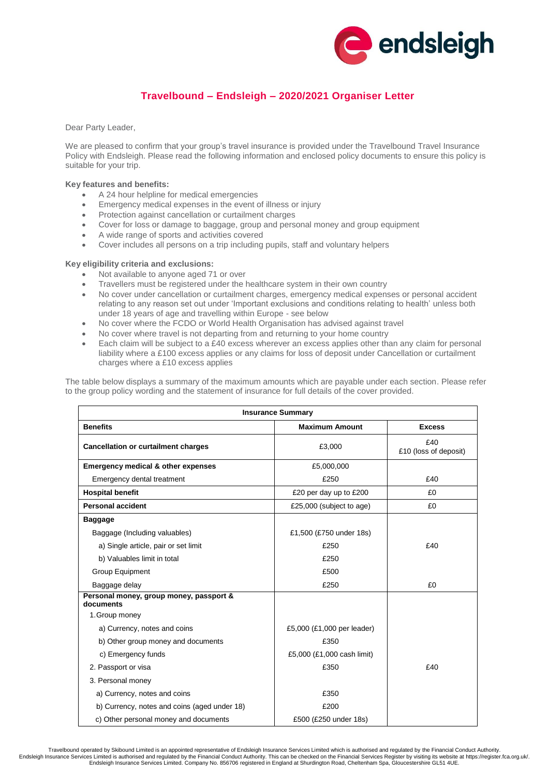

# **Travelbound – Endsleigh – 2020/2021 Organiser Letter**

Dear Party Leader,

We are pleased to confirm that your group's travel insurance is provided under the Travelbound Travel Insurance Policy with Endsleigh. Please read the following information and enclosed policy documents to ensure this policy is suitable for your trip.

#### **Key features and benefits:**

- A 24 hour helpline for medical emergencies
- Emergency medical expenses in the event of illness or injury
- Protection against cancellation or curtailment charges
- Cover for loss or damage to baggage, group and personal money and group equipment
- A wide range of sports and activities covered
- Cover includes all persons on a trip including pupils, staff and voluntary helpers

### **Key eligibility criteria and exclusions:**

- Not available to anyone aged 71 or over
- Travellers must be registered under the healthcare system in their own country
- No cover under cancellation or curtailment charges, emergency medical expenses or personal accident relating to any reason set out under 'Important exclusions and conditions relating to health' unless both under 18 years of age and travelling within Europe - see below
- No cover where the FCDO or World Health Organisation has advised against travel
- No cover where travel is not departing from and returning to your home country
- Each claim will be subject to a £40 excess wherever an excess applies other than any claim for personal liability where a £100 excess applies or any claims for loss of deposit under Cancellation or curtailment charges where a £10 excess applies

The table below displays a summary of the maximum amounts which are payable under each section. Please refer to the group policy wording and the statement of insurance for full details of the cover provided.

| <b>Insurance Summary</b>                             |                            |                              |  |
|------------------------------------------------------|----------------------------|------------------------------|--|
| <b>Benefits</b>                                      | <b>Maximum Amount</b>      | <b>Excess</b>                |  |
| <b>Cancellation or curtailment charges</b>           | £3,000                     | £40<br>£10 (loss of deposit) |  |
| <b>Emergency medical &amp; other expenses</b>        | £5,000,000                 |                              |  |
| Emergency dental treatment                           | £250                       | £40                          |  |
| <b>Hospital benefit</b>                              | £20 per day up to £200     | £0                           |  |
| <b>Personal accident</b>                             | £25,000 (subject to age)   | £0                           |  |
| <b>Baggage</b>                                       |                            |                              |  |
| Baggage (Including valuables)                        | £1,500 (£750 under 18s)    |                              |  |
| a) Single article, pair or set limit                 | £250                       | £40                          |  |
| b) Valuables limit in total                          | £250                       |                              |  |
| Group Equipment                                      | £500                       |                              |  |
| Baggage delay                                        | £250                       | £0                           |  |
| Personal money, group money, passport &<br>documents |                            |                              |  |
| 1. Group money                                       |                            |                              |  |
| a) Currency, notes and coins                         | £5,000 (£1,000 per leader) |                              |  |
| b) Other group money and documents                   | £350                       |                              |  |
| c) Emergency funds                                   | £5,000 (£1,000 cash limit) |                              |  |
| 2. Passport or visa                                  | £350                       | £40                          |  |
| 3. Personal money                                    |                            |                              |  |
| a) Currency, notes and coins                         | £350                       |                              |  |
| b) Currency, notes and coins (aged under 18)         | £200                       |                              |  |
| c) Other personal money and documents                | £500 (£250 under 18s)      |                              |  |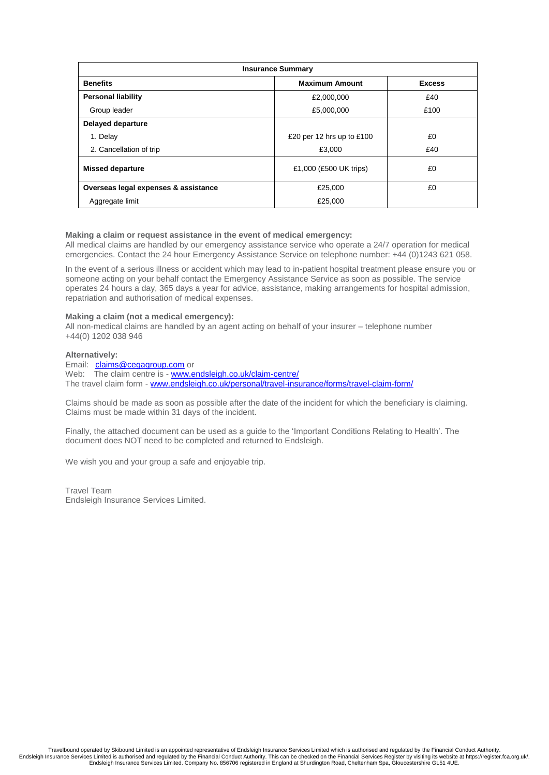| <b>Insurance Summary</b>             |                             |               |  |
|--------------------------------------|-----------------------------|---------------|--|
| <b>Benefits</b>                      | <b>Maximum Amount</b>       | <b>Excess</b> |  |
| <b>Personal liability</b>            | £2,000,000                  | £40           |  |
| Group leader                         | £5,000,000                  | £100          |  |
| <b>Delayed departure</b>             |                             |               |  |
| 1. Delay                             | £20 per 12 hrs up to $£100$ | £0            |  |
| 2. Cancellation of trip              | £3,000                      | £40           |  |
| <b>Missed departure</b>              | £1,000 (£500 UK trips)      | £0            |  |
| Overseas legal expenses & assistance | £25,000                     | £0            |  |
| Aggregate limit                      | £25,000                     |               |  |

### **Making a claim or request assistance in the event of medical emergency:**

All medical claims are handled by our emergency assistance service who operate a 24/7 operation for medical emergencies. Contact the 24 hour Emergency Assistance Service on telephone number: +44 (0)1243 621 058.

In the event of a serious illness or accident which may lead to in-patient hospital treatment please ensure you or someone acting on your behalf contact the Emergency Assistance Service as soon as possible. The service operates 24 hours a day, 365 days a year for advice, assistance, making arrangements for hospital admission, repatriation and authorisation of medical expenses.

### **Making a claim (not a medical emergency):**

All non-medical claims are handled by an agent acting on behalf of your insurer – telephone number +44(0) 1202 038 946

#### **Alternatively:**

Email: [claims@cegagroup.com](mailto:claims@cegagroup.com) or Web: The claim centre is - [www.endsleigh.co.uk/claim-centre/](http://www.endsleigh.co.uk/claim-centre/) The travel claim form - [www.endsleigh.co.uk/personal/travel-insurance/forms/travel-claim-form/](http://www.endsleigh.co.uk/personal/travel-insurance/forms/travel-claim-form/)

Claims should be made as soon as possible after the date of the incident for which the beneficiary is claiming. Claims must be made within 31 days of the incident.

Finally, the attached document can be used as a guide to the 'Important Conditions Relating to Health'. The document does NOT need to be completed and returned to Endsleigh.

We wish you and your group a safe and enjoyable trip.

Travel Team Endsleigh Insurance Services Limited.